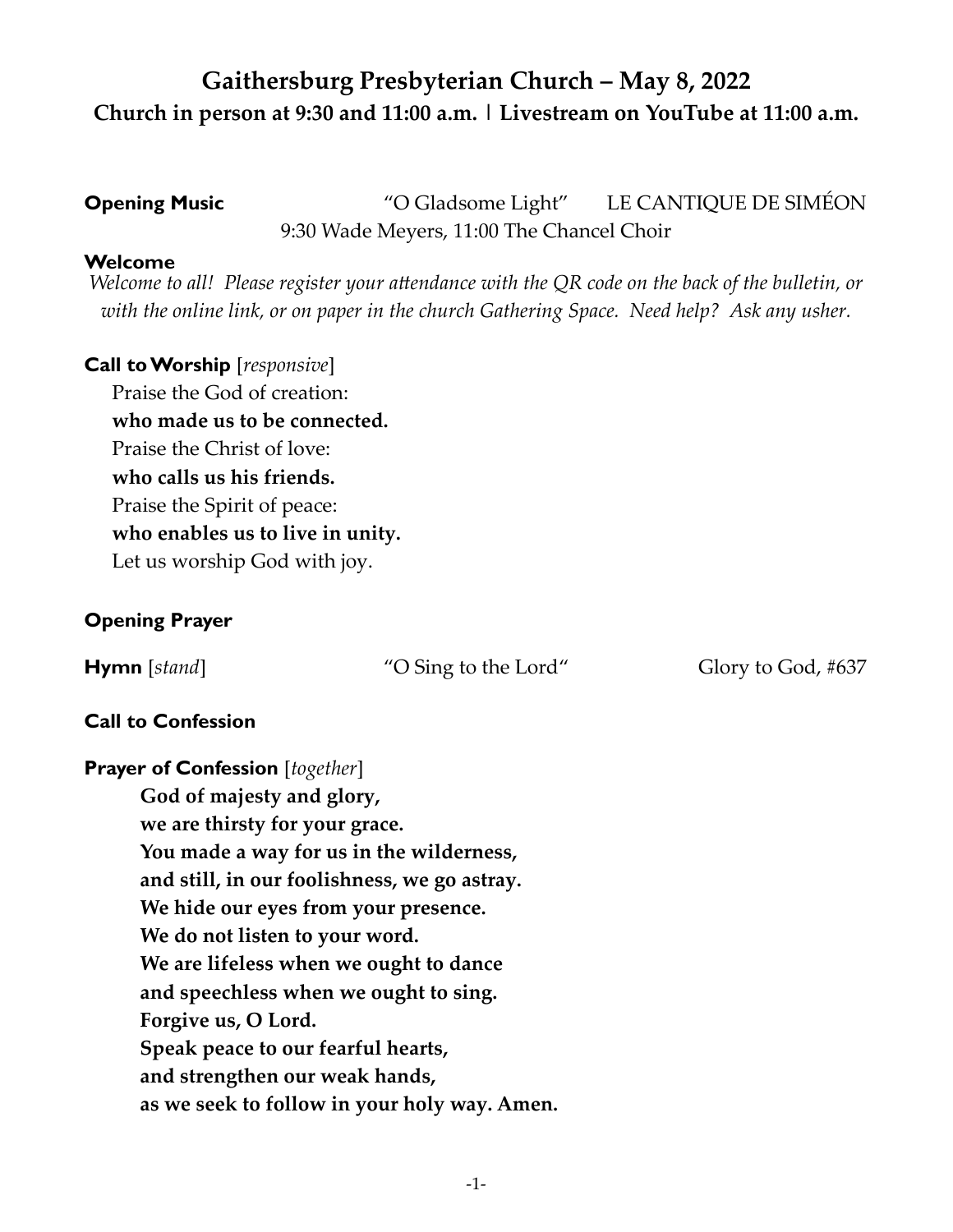# **Gaithersburg Presbyterian Church – May 8, 2022 Church in person at 9:30 and 11:00 a.m. | Livestream on YouTube at 11:00 a.m.**

**Opening Music** "O Gladsome Light" LE CANTIQUE DE SIMÉON 9:30 Wade Meyers, 11:00 The Chancel Choir

#### **Welcome**

*Welcome to all! Please register your attendance with the QR code on the back of the bulletin, or with the online link, or on paper in the church Gathering Space. Need help? Ask any usher.*

# **Call to Worship** [*responsive*]

Praise the God of creation: **who made us to be connected.**  Praise the Christ of love: **who calls us his friends.**  Praise the Spirit of peace: **who enables us to live in unity.**  Let us worship God with joy.

# **Opening Prayer**

**Hymn** [*stand*] "O Sing to the Lord" Glory to God, #637

# **Call to Confession**

**Prayer of Confession** [*together*] **God of majesty and glory, we are thirsty for your grace. You made a way for us in the wilderness, and still, in our foolishness, we go astray. We hide our eyes from your presence. We do not listen to your word. We are lifeless when we ought to dance and speechless when we ought to sing. Forgive us, O Lord. Speak peace to our fearful hearts, and strengthen our weak hands, as we seek to follow in your holy way. Amen.**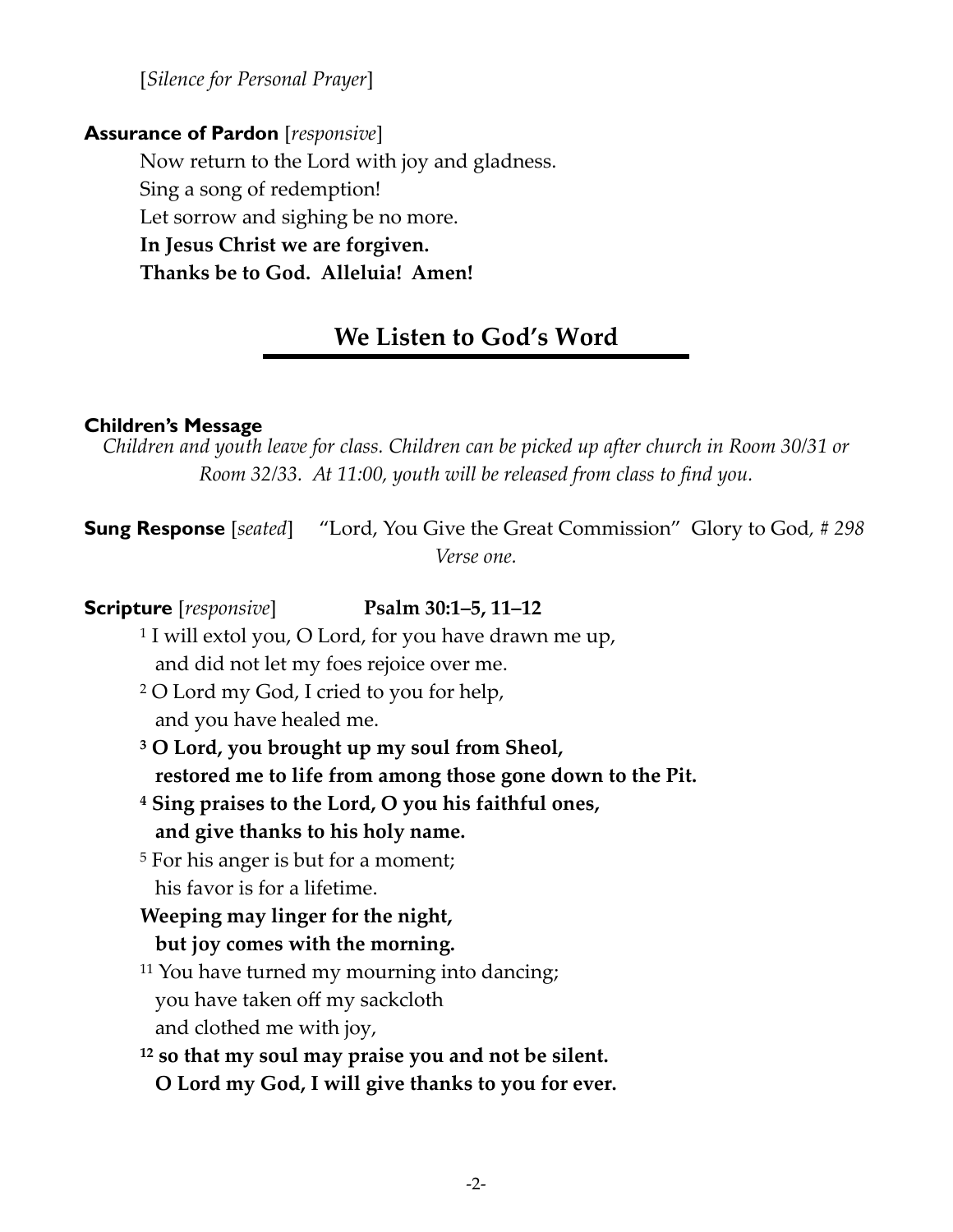[*Silence for Personal Prayer*]

## **Assurance of Pardon** [*responsive*]

Now return to the Lord with joy and gladness. Sing a song of redemption! Let sorrow and sighing be no more. **In Jesus Christ we are forgiven. Thanks be to God. Alleluia! Amen!**

# **We Listen to God's Word**

## **Children's Message**

*Children and youth leave for class. Children can be picked up after church in Room 30/31 or Room 32/33. At 11:00, youth will be released from class to find you.* 

**Sung Response** [*seated*] "Lord, You Give the Great Commission" Glory to God*, # 298 Verse one.* 

**Scripture** [*responsive*] **Psalm 30:1–5, 11–12**  1 I will extol you, O Lord, for you have drawn me up, and did not let my foes rejoice over me. 2 O Lord my God, I cried to you for help, and you have healed me. **3 O Lord, you brought up my soul from Sheol, restored me to life from among those gone down to the Pit. 4 Sing praises to the Lord, O you his faithful ones, and give thanks to his holy name.**  5 For his anger is but for a moment; his favor is for a lifetime. **Weeping may linger for the night, but joy comes with the morning.**  11 You have turned my mourning into dancing; you have taken off my sackcloth and clothed me with joy, **12 so that my soul may praise you and not be silent. O Lord my God, I will give thanks to you for ever.**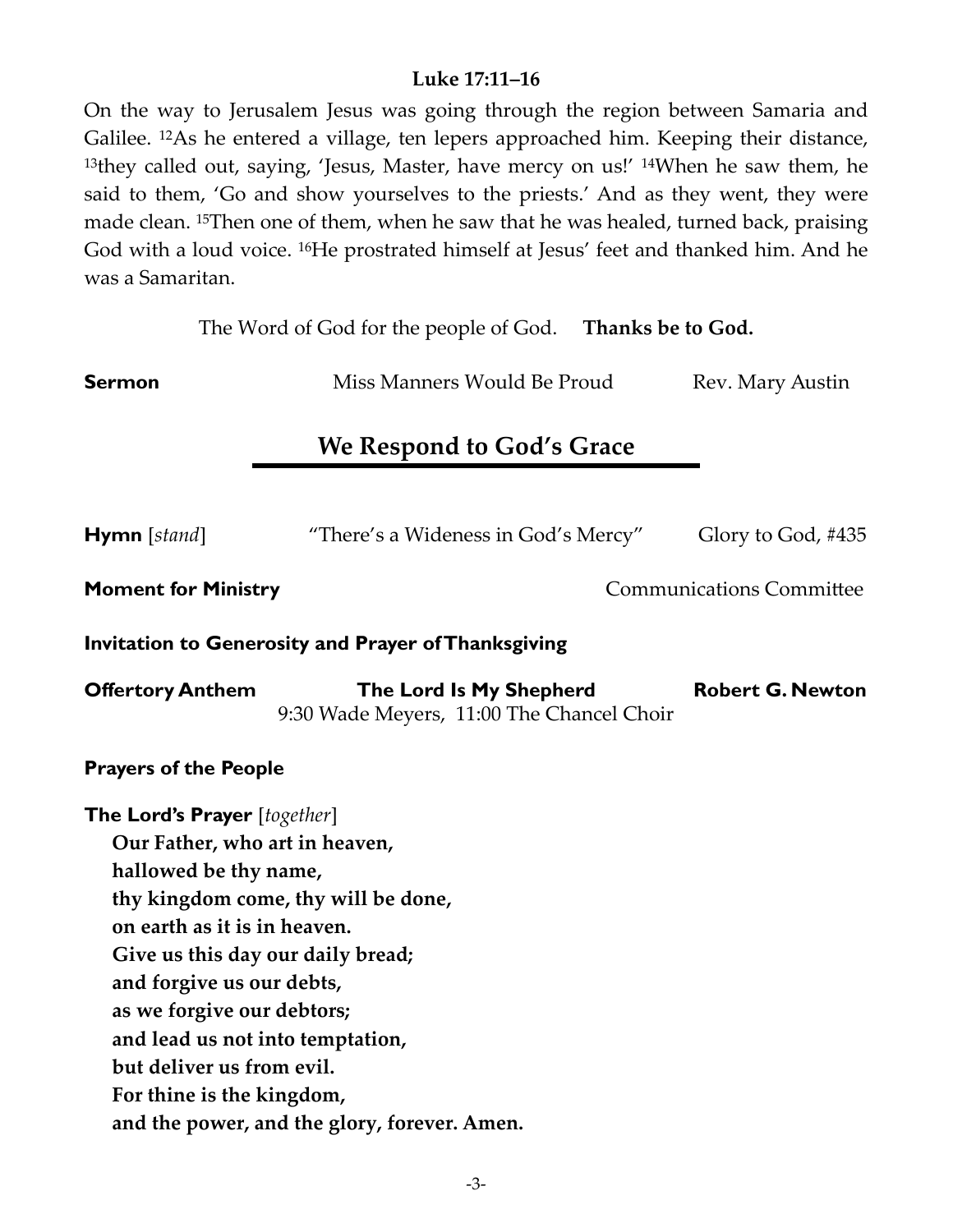## **Luke 17:11–16**

On the way to Jerusalem Jesus was going through the region between Samaria and Galilee. 12As he entered a village, ten lepers approached him. Keeping their distance, 13they called out, saying, 'Jesus, Master, have mercy on us!' <sup>14</sup>When he saw them, he said to them, 'Go and show yourselves to the priests.' And as they went, they were made clean. 15Then one of them, when he saw that he was healed, turned back, praising God with a loud voice. 16He prostrated himself at Jesus' feet and thanked him. And he was a Samaritan.

| The Word of God for the people of God. Thanks be to God.                                                                                                                                                                                                                                |                                                                                                                          |  |                                 |
|-----------------------------------------------------------------------------------------------------------------------------------------------------------------------------------------------------------------------------------------------------------------------------------------|--------------------------------------------------------------------------------------------------------------------------|--|---------------------------------|
| <b>Sermon</b>                                                                                                                                                                                                                                                                           | Miss Manners Would Be Proud                                                                                              |  | Rev. Mary Austin                |
| We Respond to God's Grace                                                                                                                                                                                                                                                               |                                                                                                                          |  |                                 |
|                                                                                                                                                                                                                                                                                         |                                                                                                                          |  |                                 |
| <b>Hymn</b> [stand]                                                                                                                                                                                                                                                                     | "There's a Wideness in God's Mercy"                                                                                      |  | Glory to God, #435              |
| <b>Moment for Ministry</b>                                                                                                                                                                                                                                                              |                                                                                                                          |  | <b>Communications Committee</b> |
| Invitation to Generosity and Prayer of Thanksgiving                                                                                                                                                                                                                                     |                                                                                                                          |  |                                 |
| <b>Offertory Anthem</b>                                                                                                                                                                                                                                                                 | The Lord Is My Shepherd<br>9:30 Wade Meyers, 11:00 The Chancel Choir                                                     |  | <b>Robert G. Newton</b>         |
| <b>Prayers of the People</b>                                                                                                                                                                                                                                                            |                                                                                                                          |  |                                 |
| <b>The Lord's Prayer</b> [together]<br>Our Father, who art in heaven,<br>hallowed be thy name,<br>on earth as it is in heaven.<br>and forgive us our debts,<br>as we forgive our debtors;<br>and lead us not into temptation,<br>but deliver us from evil.<br>For thine is the kingdom, | thy kingdom come, thy will be done,<br>Give us this day our daily bread;<br>and the power, and the glory, forever. Amen. |  |                                 |